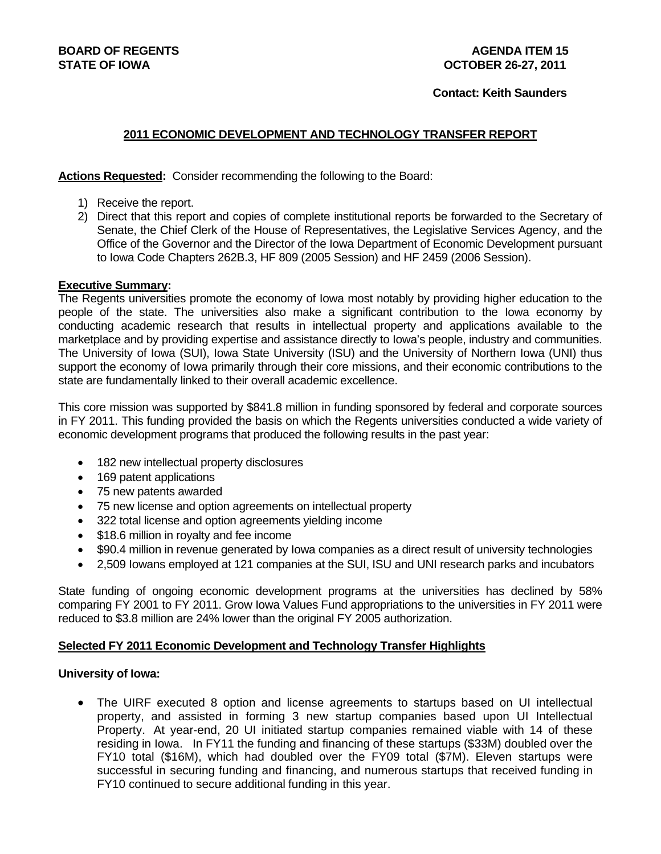## **Contact: Keith Saunders**

# **2011 ECONOMIC DEVELOPMENT AND TECHNOLOGY TRANSFER REPORT**

## **Actions Requested:** Consider recommending the following to the Board:

- 1) Receive the report.
- 2) Direct that this report and copies of complete institutional reports be forwarded to the Secretary of Senate, the Chief Clerk of the House of Representatives, the Legislative Services Agency, and the Office of the Governor and the Director of the Iowa Department of Economic Development pursuant to Iowa Code Chapters 262B.3, HF 809 (2005 Session) and HF 2459 (2006 Session).

## **Executive Summary:**

The Regents universities promote the economy of Iowa most notably by providing higher education to the people of the state. The universities also make a significant contribution to the Iowa economy by conducting academic research that results in intellectual property and applications available to the marketplace and by providing expertise and assistance directly to Iowa's people, industry and communities. The University of Iowa (SUI), Iowa State University (ISU) and the University of Northern Iowa (UNI) thus support the economy of Iowa primarily through their core missions, and their economic contributions to the state are fundamentally linked to their overall academic excellence.

This core mission was supported by \$841.8 million in funding sponsored by federal and corporate sources in FY 2011. This funding provided the basis on which the Regents universities conducted a wide variety of economic development programs that produced the following results in the past year:

- 182 new intellectual property disclosures
- 169 patent applications
- 75 new patents awarded
- 75 new license and option agreements on intellectual property
- 322 total license and option agreements yielding income
- \$18.6 million in royalty and fee income
- \$90.4 million in revenue generated by Iowa companies as a direct result of university technologies
- 2,509 Iowans employed at 121 companies at the SUI, ISU and UNI research parks and incubators

State funding of ongoing economic development programs at the universities has declined by 58% comparing FY 2001 to FY 2011. Grow Iowa Values Fund appropriations to the universities in FY 2011 were reduced to \$3.8 million are 24% lower than the original FY 2005 authorization.

## **Selected FY 2011 Economic Development and Technology Transfer Highlights**

## **University of Iowa:**

• The UIRF executed 8 option and license agreements to startups based on UI intellectual property, and assisted in forming 3 new startup companies based upon UI Intellectual Property. At year-end, 20 UI initiated startup companies remained viable with 14 of these residing in Iowa. In FY11 the funding and financing of these startups (\$33M) doubled over the FY10 total (\$16M), which had doubled over the FY09 total (\$7M). Eleven startups were successful in securing funding and financing, and numerous startups that received funding in FY10 continued to secure additional funding in this year.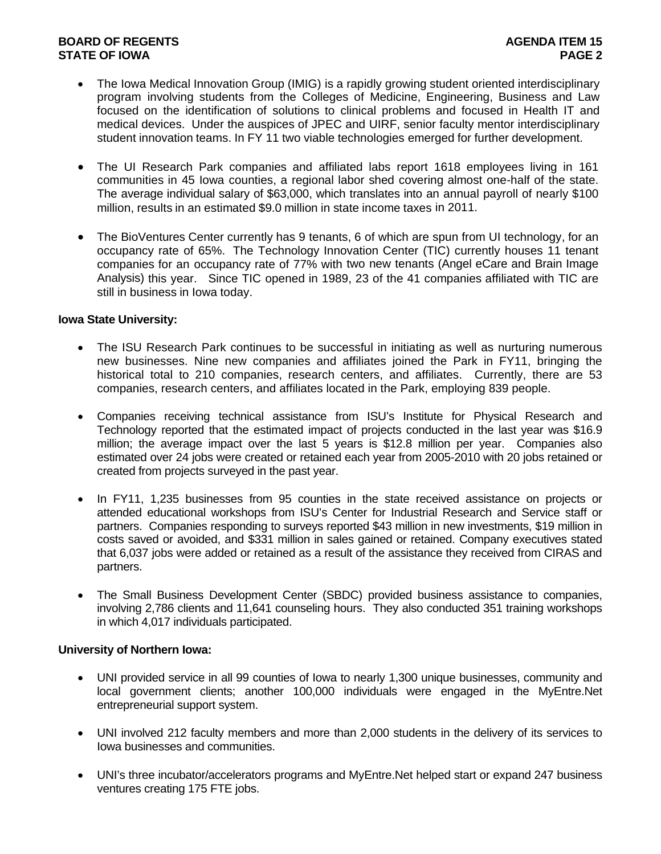# **BOARD OF REGENTS AGENTS** AGENERATION OF REGENERATION OF A SALE AGENERATION OF REGENERATION OF A SALE AGENERATION OF A SALE AGENERATION OF A SALE AGENERATION OF A SALE AGENERATION OF A SALE AGENERATION OF A SALE AGENCIE AG **STATE OF IOWA** PAGE 2

- The Iowa Medical Innovation Group (IMIG) is a rapidly growing student oriented interdisciplinary program involving students from the Colleges of Medicine, Engineering, Business and Law focused on the identification of solutions to clinical problems and focused in Health IT and medical devices. Under the auspices of JPEC and UIRF, senior faculty mentor interdisciplinary student innovation teams. In FY 11 two viable technologies emerged for further development.
- The UI Research Park companies and affiliated labs report 1618 employees living in 161 communities in 45 Iowa counties, a regional labor shed covering almost one-half of the state. The average individual salary of \$63,000, which translates into an annual payroll of nearly \$100 million, results in an estimated \$9.0 million in state income taxes in 2011.
- The BioVentures Center currently has 9 tenants, 6 of which are spun from UI technology, for an occupancy rate of 65%. The Technology Innovation Center (TIC) currently houses 11 tenant companies for an occupancy rate of 77% with two new tenants (Angel eCare and Brain Image Analysis) this year. Since TIC opened in 1989, 23 of the 41 companies affiliated with TIC are still in business in Iowa today.

## **Iowa State University:**

- The ISU Research Park continues to be successful in initiating as well as nurturing numerous new businesses. Nine new companies and affiliates joined the Park in FY11, bringing the historical total to 210 companies, research centers, and affiliates. Currently, there are 53 companies, research centers, and affiliates located in the Park, employing 839 people.
- Companies receiving technical assistance from ISU's Institute for Physical Research and Technology reported that the estimated impact of projects conducted in the last year was \$16.9 million; the average impact over the last 5 years is \$12.8 million per year. Companies also estimated over 24 jobs were created or retained each year from 2005-2010 with 20 jobs retained or created from projects surveyed in the past year.
- In FY11, 1,235 businesses from 95 counties in the state received assistance on projects or attended educational workshops from ISU's Center for Industrial Research and Service staff or partners. Companies responding to surveys reported \$43 million in new investments, \$19 million in costs saved or avoided, and \$331 million in sales gained or retained. Company executives stated that 6,037 jobs were added or retained as a result of the assistance they received from CIRAS and partners.
- The Small Business Development Center (SBDC) provided business assistance to companies, involving 2,786 clients and 11,641 counseling hours. They also conducted 351 training workshops in which 4,017 individuals participated.

## **University of Northern Iowa:**

- UNI provided service in all 99 counties of Iowa to nearly 1,300 unique businesses, community and local government clients; another 100,000 individuals were engaged in the MyEntre.Net entrepreneurial support system.
- UNI involved 212 faculty members and more than 2,000 students in the delivery of its services to Iowa businesses and communities.
- UNI's three incubator/accelerators programs and MyEntre.Net helped start or expand 247 business ventures creating 175 FTE jobs.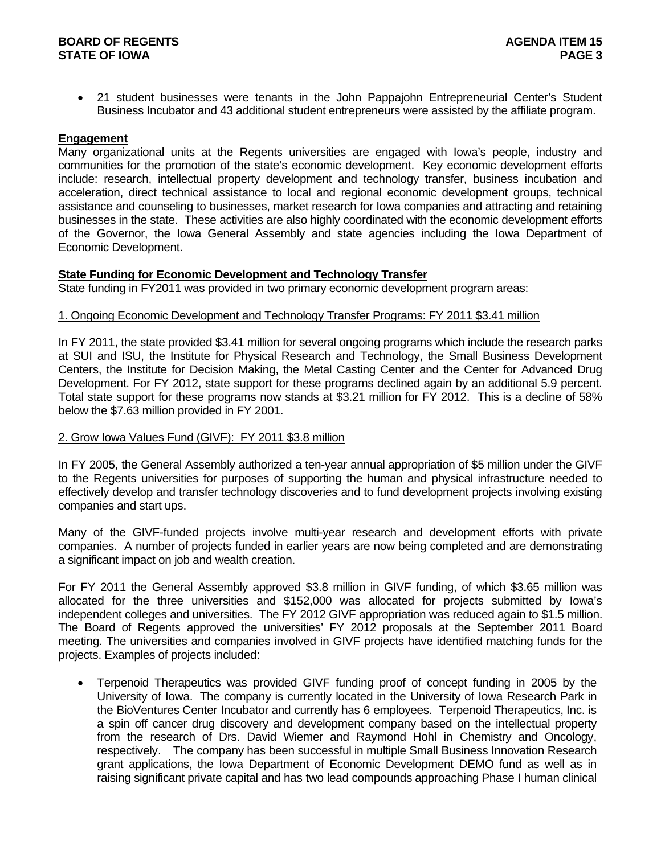## **BOARD OF REGENTS AGENUS AGENERATION CONTROL STATE OF IOWA PAGE 3**

 21 student businesses were tenants in the John Pappajohn Entrepreneurial Center's Student Business Incubator and 43 additional student entrepreneurs were assisted by the affiliate program.

### **Engagement**

Many organizational units at the Regents universities are engaged with Iowa's people, industry and communities for the promotion of the state's economic development. Key economic development efforts include: research, intellectual property development and technology transfer, business incubation and acceleration, direct technical assistance to local and regional economic development groups, technical assistance and counseling to businesses, market research for Iowa companies and attracting and retaining businesses in the state. These activities are also highly coordinated with the economic development efforts of the Governor, the Iowa General Assembly and state agencies including the Iowa Department of Economic Development.

### **State Funding for Economic Development and Technology Transfer**

State funding in FY2011 was provided in two primary economic development program areas:

### 1. Ongoing Economic Development and Technology Transfer Programs: FY 2011 \$3.41 million

In FY 2011, the state provided \$3.41 million for several ongoing programs which include the research parks at SUI and ISU, the Institute for Physical Research and Technology, the Small Business Development Centers, the Institute for Decision Making, the Metal Casting Center and the Center for Advanced Drug Development. For FY 2012, state support for these programs declined again by an additional 5.9 percent. Total state support for these programs now stands at \$3.21 million for FY 2012. This is a decline of 58% below the \$7.63 million provided in FY 2001.

## 2. Grow Iowa Values Fund (GIVF): FY 2011 \$3.8 million

In FY 2005, the General Assembly authorized a ten-year annual appropriation of \$5 million under the GIVF to the Regents universities for purposes of supporting the human and physical infrastructure needed to effectively develop and transfer technology discoveries and to fund development projects involving existing companies and start ups.

Many of the GIVF-funded projects involve multi-year research and development efforts with private companies. A number of projects funded in earlier years are now being completed and are demonstrating a significant impact on job and wealth creation.

For FY 2011 the General Assembly approved \$3.8 million in GIVF funding, of which \$3.65 million was allocated for the three universities and \$152,000 was allocated for projects submitted by Iowa's independent colleges and universities. The FY 2012 GIVF appropriation was reduced again to \$1.5 million. The Board of Regents approved the universities' FY 2012 proposals at the September 2011 Board meeting. The universities and companies involved in GIVF projects have identified matching funds for the projects. Examples of projects included:

 Terpenoid Therapeutics was provided GIVF funding proof of concept funding in 2005 by the University of Iowa. The company is currently located in the University of Iowa Research Park in the BioVentures Center Incubator and currently has 6 employees. Terpenoid Therapeutics, Inc. is a spin off cancer drug discovery and development company based on the intellectual property from the research of Drs. David Wiemer and Raymond Hohl in Chemistry and Oncology, respectively. The company has been successful in multiple Small Business Innovation Research grant applications, the Iowa Department of Economic Development DEMO fund as well as in raising significant private capital and has two lead compounds approaching Phase I human clinical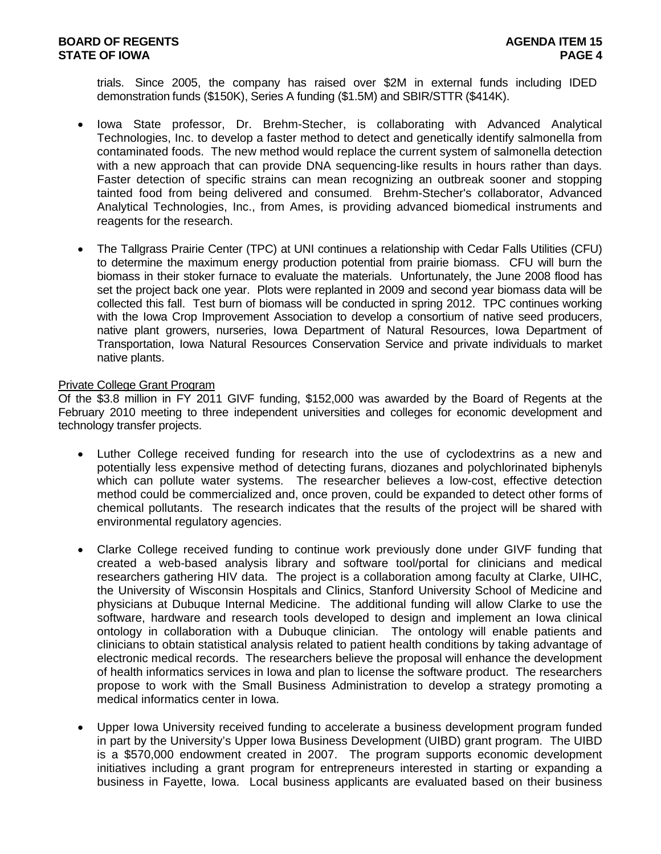trials. Since 2005, the company has raised over \$2M in external funds including IDED demonstration funds (\$150K), Series A funding (\$1.5M) and SBIR/STTR (\$414K).

- Iowa State professor, Dr. Brehm-Stecher, is collaborating with Advanced Analytical Technologies, Inc. to develop a faster method to detect and genetically identify salmonella from contaminated foods. The new method would replace the current system of salmonella detection with a new approach that can provide DNA sequencing-like results in hours rather than days. Faster detection of specific strains can mean recognizing an outbreak sooner and stopping tainted food from being delivered and consumed. Brehm-Stecher's collaborator, Advanced Analytical Technologies, Inc., from Ames, is providing advanced biomedical instruments and reagents for the research.
- The Tallgrass Prairie Center (TPC) at UNI continues a relationship with Cedar Falls Utilities (CFU) to determine the maximum energy production potential from prairie biomass. CFU will burn the biomass in their stoker furnace to evaluate the materials. Unfortunately, the June 2008 flood has set the project back one year. Plots were replanted in 2009 and second year biomass data will be collected this fall. Test burn of biomass will be conducted in spring 2012. TPC continues working with the Iowa Crop Improvement Association to develop a consortium of native seed producers, native plant growers, nurseries, Iowa Department of Natural Resources, Iowa Department of Transportation, Iowa Natural Resources Conservation Service and private individuals to market native plants.

### Private College Grant Program

Of the \$3.8 million in FY 2011 GIVF funding, \$152,000 was awarded by the Board of Regents at the February 2010 meeting to three independent universities and colleges for economic development and technology transfer projects.

- Luther College received funding for research into the use of cyclodextrins as a new and potentially less expensive method of detecting furans, diozanes and polychlorinated biphenyls which can pollute water systems. The researcher believes a low-cost, effective detection method could be commercialized and, once proven, could be expanded to detect other forms of chemical pollutants. The research indicates that the results of the project will be shared with environmental regulatory agencies.
- Clarke College received funding to continue work previously done under GIVF funding that created a web-based analysis library and software tool/portal for clinicians and medical researchers gathering HIV data. The project is a collaboration among faculty at Clarke, UIHC, the University of Wisconsin Hospitals and Clinics, Stanford University School of Medicine and physicians at Dubuque Internal Medicine. The additional funding will allow Clarke to use the software, hardware and research tools developed to design and implement an Iowa clinical ontology in collaboration with a Dubuque clinician. The ontology will enable patients and clinicians to obtain statistical analysis related to patient health conditions by taking advantage of electronic medical records. The researchers believe the proposal will enhance the development of health informatics services in Iowa and plan to license the software product. The researchers propose to work with the Small Business Administration to develop a strategy promoting a medical informatics center in Iowa.
- Upper Iowa University received funding to accelerate a business development program funded in part by the University's Upper Iowa Business Development (UIBD) grant program. The UIBD is a \$570,000 endowment created in 2007. The program supports economic development initiatives including a grant program for entrepreneurs interested in starting or expanding a business in Fayette, Iowa. Local business applicants are evaluated based on their business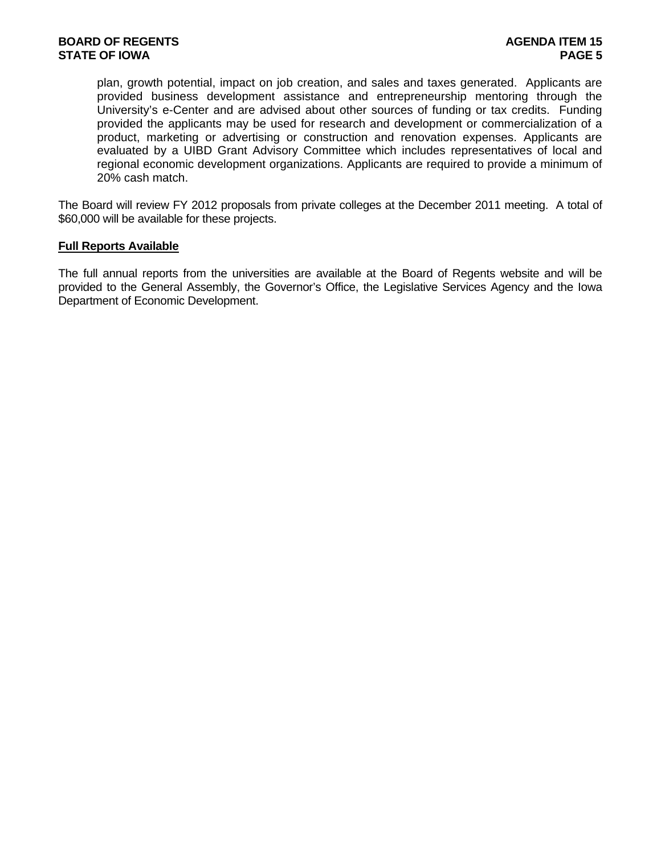plan, growth potential, impact on job creation, and sales and taxes generated. Applicants are provided business development assistance and entrepreneurship mentoring through the University's e-Center and are advised about other sources of funding or tax credits. Funding provided the applicants may be used for research and development or commercialization of a product, marketing or advertising or construction and renovation expenses. Applicants are evaluated by a UIBD Grant Advisory Committee which includes representatives of local and regional economic development organizations. Applicants are required to provide a minimum of 20% cash match.

The Board will review FY 2012 proposals from private colleges at the December 2011 meeting. A total of \$60,000 will be available for these projects.

### **Full Reports Available**

The full annual reports from the universities are available at the Board of Regents website and will be provided to the General Assembly, the Governor's Office, the Legislative Services Agency and the Iowa Department of Economic Development.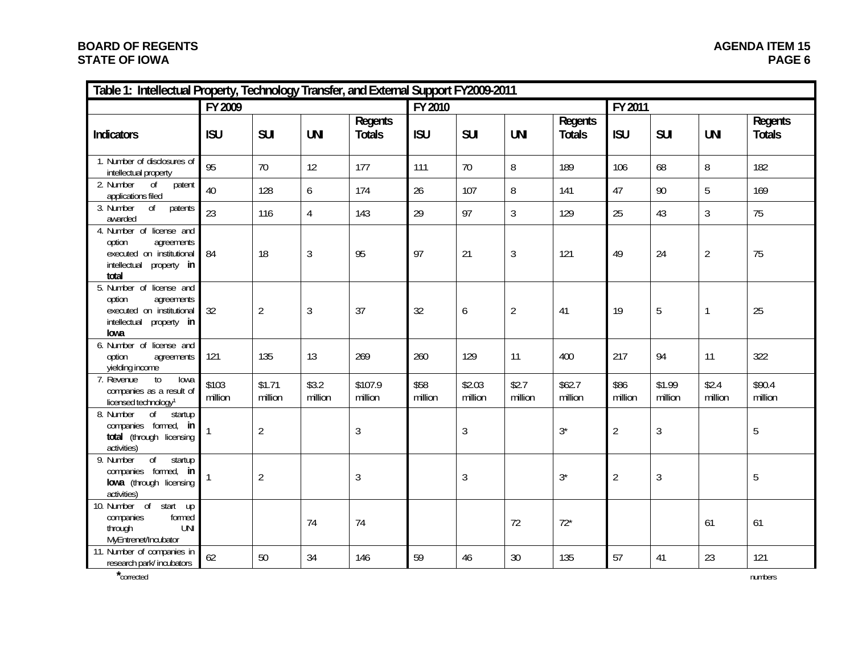# **BOARD OF REGENTS STATE OF IOWA**

| Table 1: Intellectual Property, Technology Transfer, and External Support FY2009-2011                                 |                  |                   |                  |                          |                 |                   |                  |                          |                 |                   |                  |                          |  |
|-----------------------------------------------------------------------------------------------------------------------|------------------|-------------------|------------------|--------------------------|-----------------|-------------------|------------------|--------------------------|-----------------|-------------------|------------------|--------------------------|--|
|                                                                                                                       | FY 2009          |                   |                  |                          | FY 2010         |                   |                  |                          | FY 2011         |                   |                  |                          |  |
| <b>Indicators</b>                                                                                                     | <b>ISU</b>       | <b>SUI</b>        | <b>UNI</b>       | Regents<br><b>Totals</b> | <b>ISU</b>      | <b>SUI</b>        | <b>UNI</b>       | Regents<br><b>Totals</b> | <b>ISU</b>      | <b>SUI</b>        | <b>UNI</b>       | Regents<br><b>Totals</b> |  |
| 1. Number of disclosures of<br>intellectual property                                                                  | 95               | 70                | 12               | 177                      | 111             | 70                | 8                | 189                      | 106             | 68                | 8                | 182                      |  |
| 2. Number<br>0f<br>patent<br>applications filed                                                                       | 40               | 128               | 6                | 174                      | 26              | 107               | 8                | 141                      | 47              | 90                | 5                | 169                      |  |
| patents<br>3. Number<br>0 <sup>f</sup><br>awarded                                                                     | 23               | 116               | $\overline{4}$   | 143                      | 29              | 97                | 3                | 129                      | 25              | 43                | 3                | 75                       |  |
| 4. Number of license and<br>option<br>agreements<br>executed on institutional<br>intellectual<br>property in<br>total | 84               | 18                | 3                | 95                       | 97              | 21                | 3                | 121                      | 49              | 24                | $\overline{2}$   | 75                       |  |
| 5. Number of license and<br>option<br>agreements<br>executed on institutional<br>intellectual<br>property in<br>lowa  | 32               | $\overline{2}$    | 3                | 37                       | 32              | 6                 | $\overline{2}$   | 41                       | 19              | 5                 | $\mathbf{1}$     | 25                       |  |
| 6. Number of license and<br>option<br>agreements<br>yielding income                                                   | 121              | 135               | 13               | 269                      | 260             | 129               | 11               | 400                      | 217             | 94                | 11               | 322                      |  |
| $\mathsf{to}$<br>7. Revenue<br>lowa<br>companies as a result of<br>licensed technology <sup>1</sup>                   | \$103<br>million | \$1.71<br>million | \$3.2<br>million | \$107.9<br>million       | \$58<br>million | \$2.03<br>million | \$2.7<br>million | \$62.7<br>million        | \$86<br>million | \$1.99<br>million | \$2.4<br>million | \$90.4<br>million        |  |
| 8. Number<br>$\sigma$<br>startup<br>companies formed, in<br>total (through licensing<br>activities)                   |                  | $\sqrt{2}$        |                  | 3                        |                 | 3                 |                  | $3^*$                    | $\overline{2}$  | $\mathfrak{Z}$    |                  | 5                        |  |
| $\overline{of}$<br>9. Number<br>startup<br>companies formed, in<br>lowa (through licensing<br>activities)             |                  | $\overline{2}$    |                  | 3                        |                 | $\mathfrak{Z}$    |                  | $3^*$                    | $\overline{2}$  | $\mathfrak{Z}$    |                  | 5                        |  |
| 10. Number of start up<br>formed<br>companies<br>through<br><b>UNI</b><br>MyEntrenet/Incubator                        |                  |                   | 74               | 74                       |                 |                   | 72               | $72*$                    |                 |                   | 61               | 61                       |  |
| 11. Number of companies in<br>research park/incubators                                                                | 62               | 50                | 34               | 146                      | 59              | 46                | 30               | 135                      | 57              | 41                | 23               | 121                      |  |

**\***corrected numbers